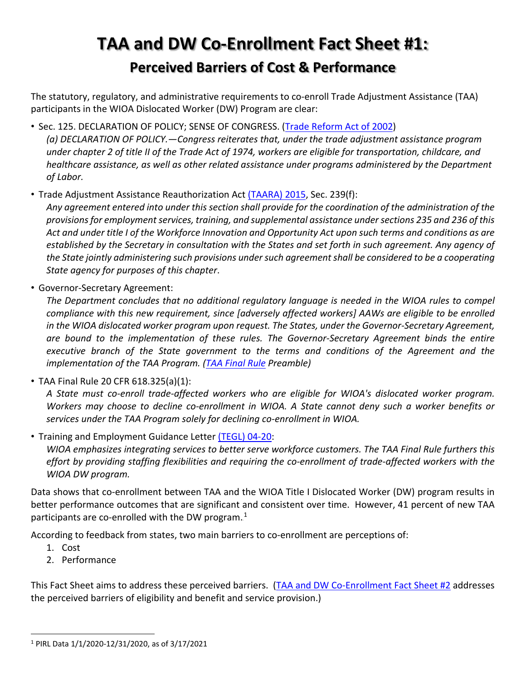# **TAA and DW Co-Enrollment Fact Sheet #1: Perceived Barriers of Cost & Performance**

The statutory, regulatory, and administrative requirements to co-enroll Trade Adjustment Assistance (TAA) participants in the WIOA Dislocated Worker (DW) Program are clear:

• Sec. 125. DECLARATION OF POLICY; SENSE OF CONGRESS. [\(Trade Reform Act of 2002\)](https://www.congress.gov/bill/107th-congress/house-bill/3009)

*(a) DECLARATION OF POLICY.—Congress reiterates that, under the trade adjustment assistance program under chapter 2 of title II of the Trade Act of 1974, workers are eligible for transportation, childcare, and healthcare assistance, as well as other related assistance under programs administered by the Department of Labor.*

• Trade Adjustment Assistance Reauthorization Act [\(TAARA\)](https://uscode.house.gov/view.xhtml?path=/prelim@title19/chapter12/subchapter2&edition=prelim) 2015, Sec. 239(f):

*Any agreement entered into under this section shall provide for the coordination of the administration of the provisions for employment services, training, and supplemental assistance under sections 235 and 236 of this Act and under title I of the Workforce Innovation and Opportunity Act upon such terms and conditions as are established by the Secretary in consultation with the States and set forth in such agreement. Any agency of the State jointly administering such provisions under such agreement shall be considered to be a cooperating State agency for purposes of this chapter*.

• Governor-Secretary Agreement:

*The Department concludes that no additional regulatory language is needed in the WIOA rules to compel compliance with this new requirement, since [adversely affected workers] AAWs are eligible to be enrolled in the WIOA dislocated worker program upon request. The States, under the Governor-Secretary Agreement, are bound to the implementation of these rules. The Governor-Secretary Agreement binds the entire executive branch of the State government to the terms and conditions of the Agreement and the implementation of the TAA Program. [\(TAA Final Rule](https://www.federalregister.gov/documents/2020/08/21/2020-13802/trade-adjustment-assistance-for-workers) Preamble)*

• TAA Final Rule 20 CFR 618.325(a)(1):

*A State must co-enroll trade-affected workers who are eligible for WIOA's dislocated worker program. Workers may choose to decline co-enrollment in WIOA. A State cannot deny such a worker benefits or services under the TAA Program solely for declining co-enrollment in WIOA.*

• Training and Employment Guidance Letter [\(TEGL\) 04-20:](https://wdr.doleta.gov/directives/corr_doc.cfm?DOCN=6273)

*WIOA emphasizes integrating services to better serve workforce customers. The TAA Final Rule furthers this effort by providing staffing flexibilities and requiring the co-enrollment of trade-affected workers with the WIOA DW program.*

Data shows that co-enrollment between TAA and the WIOA Title I Dislocated Worker (DW) program results in better performance outcomes that are significant and consistent over time. However, 41 percent of new TAA participants are co-enrolled with the DW program. $^1$ 

According to feedback from states, two main barriers to co-enrollment are perceptions of:

- 1. Cost
- 2. Performance

This Fact Sheet aims to address these perceived barriers. [\(TAA and DW Co-Enrollment Fact Sheet](https://www.dol.gov/sites/dolgov/files/ETA/tradeact/pdfs/Co-Enrollment_FAQ-2.pdf) #2 addresses the perceived barriers of eligibility and benefit and service provision.)

 <sup>1</sup> PIRL Data 1/1/2020-12/31/2020, as of 3/17/2021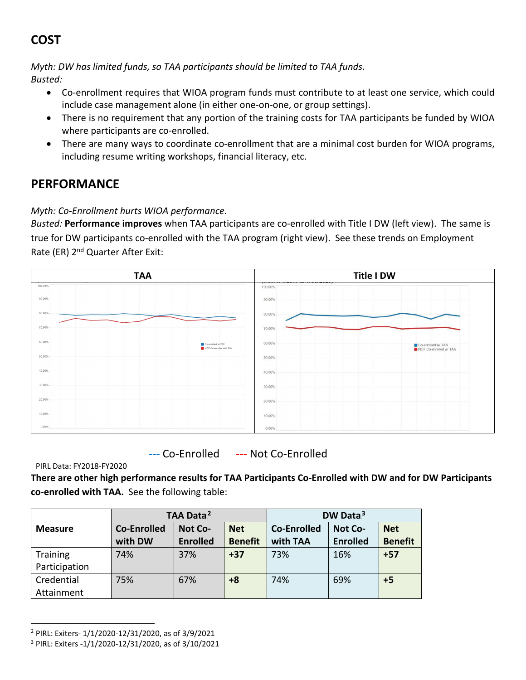## **COST**

*Myth: DW has limited funds, so TAA participants should be limited to TAA funds. Busted:* 

- Co-enrollment requires that WIOA program funds must contribute to at least one service, which could include case management alone (in either one-on-one, or group settings).
- There is no requirement that any portion of the training costs for TAA participants be funded by WIOA where participants are co-enrolled.
- There are many ways to coordinate co-enrollment that are a minimal cost burden for WIOA programs, including resume writing workshops, financial literacy, etc.

### **PERFORMANCE**

### *Myth: Co-Enrollment hurts WIOA performance.*

*Busted:* **Performance improves** when TAA participants are co-enrolled with Title I DW (left view). The same is true for DW participants co-enrolled with the TAA program (right view). See these trends on Employment Rate (ER) 2<sup>nd</sup> Quarter After Exit:



**---** Co-Enrolled **---** Not Co-Enrolled

PIRL Data: FY2018-FY2020

**There are other high performance results for TAA Participants Co-Enrolled with DW and for DW Participants co-enrolled with TAA.** See the following table:

|                 | TAA Data <sup>2</sup> |                 |                | DW Data <sup>3</sup> |                 |                |
|-----------------|-----------------------|-----------------|----------------|----------------------|-----------------|----------------|
| <b>Measure</b>  | Co-Enrolled           | <b>Not Co-</b>  | <b>Net</b>     | Co-Enrolled          | <b>Not Co-</b>  | <b>Net</b>     |
|                 | with DW               | <b>Enrolled</b> | <b>Benefit</b> | with TAA             | <b>Enrolled</b> | <b>Benefit</b> |
| <b>Training</b> | 74%                   | 37%             | $+37$          | 73%                  | 16%             | $+57$          |
| Participation   |                       |                 |                |                      |                 |                |
| Credential      | 75%                   | 67%             | $+8$           | 74%                  | 69%             | $+5$           |
| Attainment      |                       |                 |                |                      |                 |                |

 <sup>2</sup> PIRL: Exiters- 1/1/2020-12/31/2020, as of 3/9/2021

<sup>3</sup> PIRL: Exiters -1/1/2020-12/31/2020, as of 3/10/2021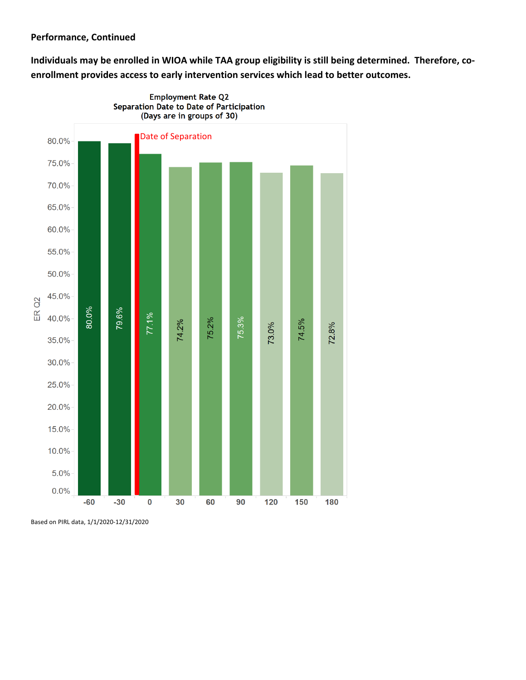#### **Performance, Continued**

**Individuals may be enrolled in WIOA while TAA group eligibility is still being determined. Therefore, coenrollment provides access to early intervention services which lead to better outcomes.**



Based on PIRL data, 1/1/2020-12/31/2020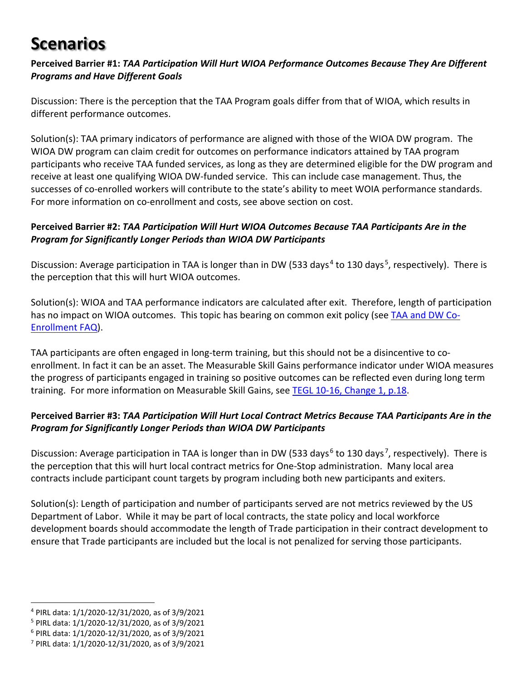# **Scenarios**

#### **Perceived Barrier #1:** *TAA Participation Will Hurt WIOA Performance Outcomes Because They Are Different Programs and Have Different Goals*

Discussion: There is the perception that the TAA Program goals differ from that of WIOA, which results in different performance outcomes.

Solution(s): TAA primary indicators of performance are aligned with those of the WIOA DW program. The WIOA DW program can claim credit for outcomes on performance indicators attained by TAA program participants who receive TAA funded services, as long as they are determined eligible for the DW program and receive at least one qualifying WIOA DW-funded service. This can include case management. Thus, the successes of co-enrolled workers will contribute to the state's ability to meet WOIA performance standards. For more information on co-enrollment and costs, see above section on cost.

#### **Perceived Barrier #2:** *TAA Participation Will Hurt WIOA Outcomes Because TAA Participants Are in the Program for Significantly Longer Periods than WIOA DW Participants*

Discussion: Average participation in TAA is longer than in DW (533 days<sup>4</sup> to 130 days<sup>5</sup>, respectively). There is the perception that this will hurt WIOA outcomes.

Solution(s): WIOA and TAA performance indicators are calculated after exit. Therefore, length of participation has no impact on WIOA outcomes. This topic has bearing on common exit policy (see [TAA and DW Co-](https://www.dol.gov/sites/dolgov/files/ETA/tradeact/pdfs/Co-Enrollment_FAQ-3.pdf)[Enrollment FAQ\)](https://www.dol.gov/sites/dolgov/files/ETA/tradeact/pdfs/Co-Enrollment_FAQ-3.pdf).

TAA participants are often engaged in long-term training, but this should not be a disincentive to coenrollment. In fact it can be an asset. The Measurable Skill Gains performance indicator under WIOA measures the progress of participants engaged in training so positive outcomes can be reflected even during long term training. For more information on Measurable Skill Gains, see [TEGL 10-16, Change 1, p.18.](https://wdr.doleta.gov/directives/attach/TEGL/TEGL_10-16-Change1_Acc.pdf)

#### **Perceived Barrier #3:** *TAA Participation Will Hurt Local Contract Metrics Because TAA Participants Are in the Program for Significantly Longer Periods than WIOA DW Participants*

Discussion: Average participation in TAA is longer than in DW (533 days<sup>6</sup> to 130 days<sup>7</sup>, respectively). There is the perception that this will hurt local contract metrics for One-Stop administration. Many local area contracts include participant count targets by program including both new participants and exiters.

Solution(s): Length of participation and number of participants served are not metrics reviewed by the US Department of Labor. While it may be part of local contracts, the state policy and local workforce development boards should accommodate the length of Trade participation in their contract development to ensure that Trade participants are included but the local is not penalized for serving those participants.

 <sup>4</sup> PIRL data: 1/1/2020-12/31/2020, as of 3/9/2021

<sup>5</sup> PIRL data: 1/1/2020-12/31/2020, as of 3/9/2021

<sup>6</sup> PIRL data: 1/1/2020-12/31/2020, as of 3/9/2021

<sup>7</sup> PIRL data: 1/1/2020-12/31/2020, as of 3/9/2021